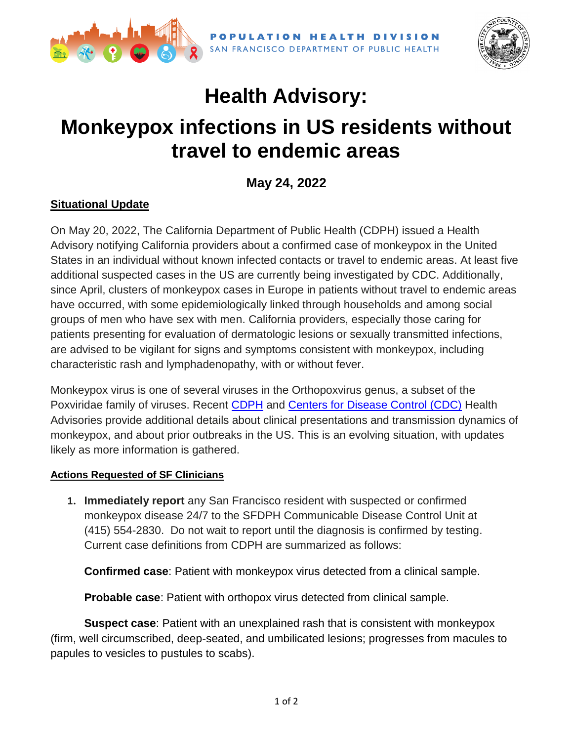



# **Health Advisory: Monkeypox infections in US residents without travel to endemic areas**

**May 24, 2022**

## **Situational Update**

On May 20, 2022, The California Department of Public Health (CDPH) issued a Health Advisory notifying California providers about a confirmed case of monkeypox in the United States in an individual without known infected contacts or travel to endemic areas. At least five additional suspected cases in the US are currently being investigated by CDC. Additionally, since April, clusters of monkeypox cases in Europe in patients without travel to endemic areas have occurred, with some epidemiologically linked through households and among social groups of men who have sex with men. California providers, especially those caring for patients presenting for evaluation of dermatologic lesions or sexually transmitted infections, are advised to be vigilant for signs and symptoms consistent with monkeypox, including characteristic rash and lymphadenopathy, with or without fever.

Monkeypox virus is one of several viruses in the Orthopoxvirus genus, a subset of the Poxviridae family of viruses. Recent [CDPH](https://www.sfcdcp.org/wp-content/uploads/2022/05/CDPH-Advisory-Monkeypox-Enhancing-Surveillance-CA-5.20.22.pdf) and [Centers for Disease Control \(CDC\)](https://www.sfcdcp.org/wp-content/uploads/2022/05/CDC-HAN-466-Monkeypox-2022.5.20.pdf) Health Advisories provide additional details about clinical presentations and transmission dynamics of monkeypox, and about prior outbreaks in the US. This is an evolving situation, with updates likely as more information is gathered.

### **Actions Requested of SF Clinicians**

**1. Immediately report** any San Francisco resident with suspected or confirmed monkeypox disease 24/7 to the SFDPH Communicable Disease Control Unit at (415) 554-2830. Do not wait to report until the diagnosis is confirmed by testing. Current case definitions from CDPH are summarized as follows:

**Confirmed case**: Patient with monkeypox virus detected from a clinical sample.

**Probable case**: Patient with orthopox virus detected from clinical sample.

**Suspect case**: Patient with an unexplained rash that is consistent with monkeypox (firm, well circumscribed, deep-seated, and umbilicated lesions; progresses from macules to papules to vesicles to pustules to scabs).